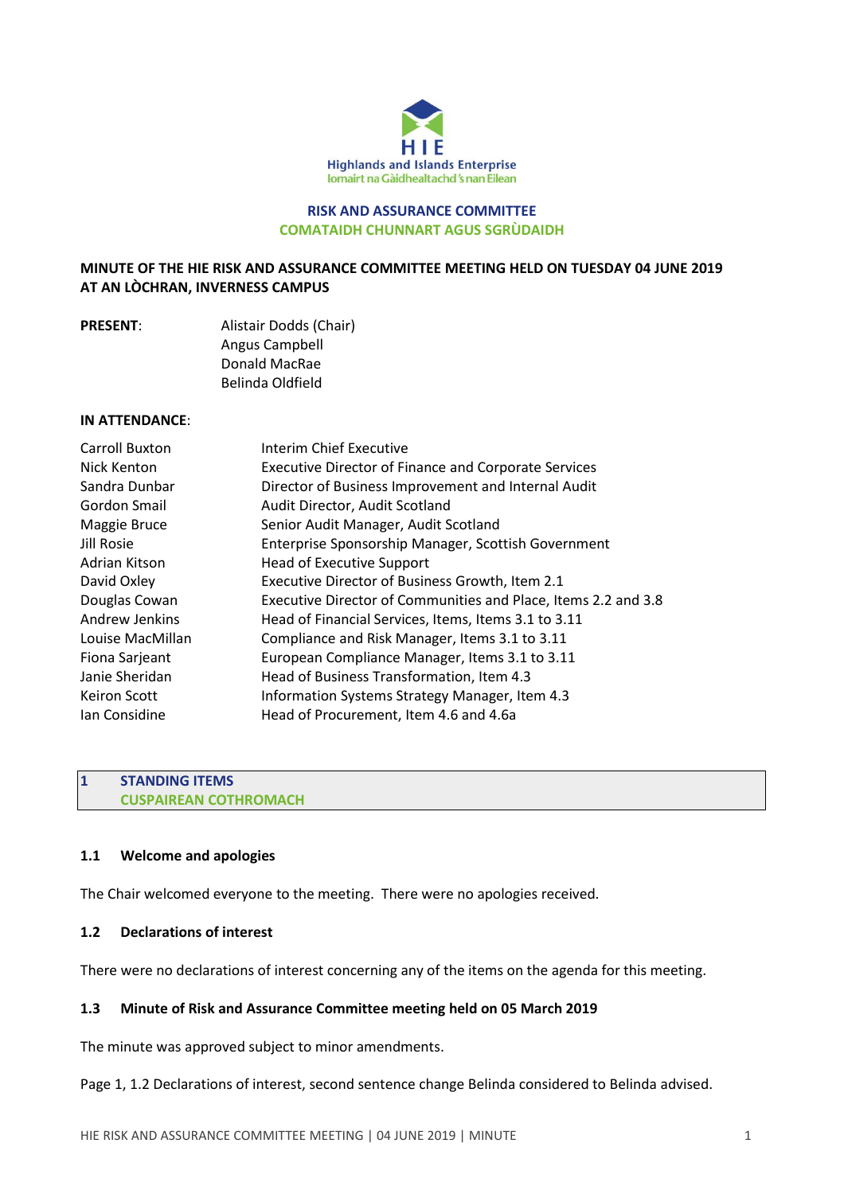

### **RISK AND ASSURANCE COMMITTEE COMATAIDH CHUNNART AGUS SGRÙDAIDH**

## **MINUTE OF THE HIE RISK AND ASSURANCE COMMITTEE MEETING HELD ON TUESDAY 04 JUNE 2019 AT AN LÒCHRAN, INVERNESS CAMPUS**

| <b>PRESENT:</b> | Alistair Dodds (Chair) |
|-----------------|------------------------|
|                 | Angus Campbell         |
|                 | Donald MacRae          |
|                 | Belinda Oldfield       |

#### **IN ATTENDANCE**:

| <b>Carroll Buxton</b> | Interim Chief Executive                                        |
|-----------------------|----------------------------------------------------------------|
| Nick Kenton           | <b>Executive Director of Finance and Corporate Services</b>    |
| Sandra Dunbar         | Director of Business Improvement and Internal Audit            |
| Gordon Smail          | Audit Director, Audit Scotland                                 |
| Maggie Bruce          | Senior Audit Manager, Audit Scotland                           |
| Jill Rosie            | Enterprise Sponsorship Manager, Scottish Government            |
| Adrian Kitson         | <b>Head of Executive Support</b>                               |
| David Oxley           | Executive Director of Business Growth, Item 2.1                |
| Douglas Cowan         | Executive Director of Communities and Place, Items 2.2 and 3.8 |
| Andrew Jenkins        | Head of Financial Services, Items, Items 3.1 to 3.11           |
| Louise MacMillan      | Compliance and Risk Manager, Items 3.1 to 3.11                 |
| Fiona Sarjeant        | European Compliance Manager, Items 3.1 to 3.11                 |
| Janie Sheridan        | Head of Business Transformation, Item 4.3                      |
| <b>Keiron Scott</b>   | Information Systems Strategy Manager, Item 4.3                 |
| Ian Considine         | Head of Procurement, Item 4.6 and 4.6a                         |
|                       |                                                                |

## **1 STANDING ITEMS CUSPAIREAN COTHROMACH**

#### **1.1 Welcome and apologies**

The Chair welcomed everyone to the meeting. There were no apologies received.

### **1.2 Declarations of interest**

There were no declarations of interest concerning any of the items on the agenda for this meeting.

### **1.3 Minute of Risk and Assurance Committee meeting held on 05 March 2019**

The minute was approved subject to minor amendments.

## Page 1, 1.2 Declarations of interest, second sentence change Belinda considered to Belinda advised.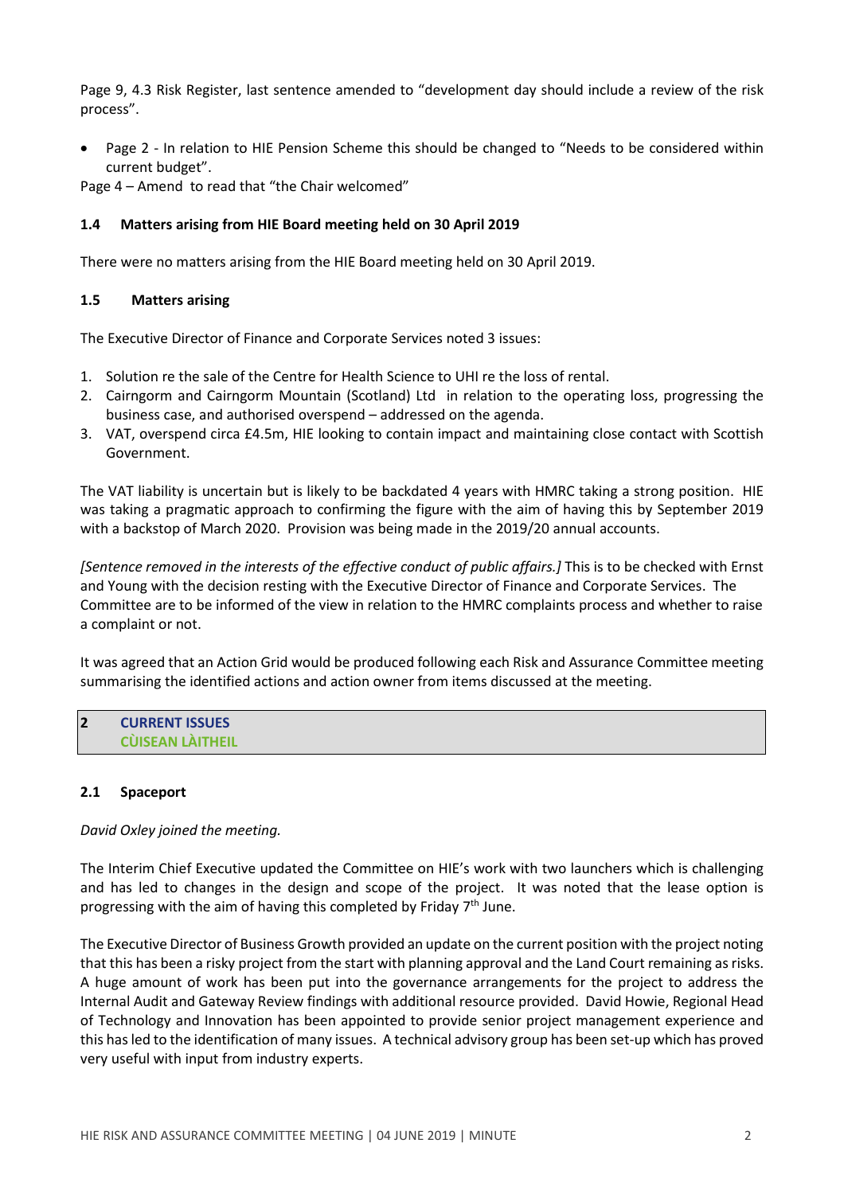Page 9, 4.3 Risk Register, last sentence amended to "development day should include a review of the risk process".

• Page 2 - In relation to HIE Pension Scheme this should be changed to "Needs to be considered within current budget".

Page 4 – Amend to read that "the Chair welcomed"

## **1.4 Matters arising from HIE Board meeting held on 30 April 2019**

There were no matters arising from the HIE Board meeting held on 30 April 2019.

## **1.5 Matters arising**

The Executive Director of Finance and Corporate Services noted 3 issues:

- 1. Solution re the sale of the Centre for Health Science to UHI re the loss of rental.
- 2. Cairngorm and Cairngorm Mountain (Scotland) Ltd in relation to the operating loss, progressing the business case, and authorised overspend – addressed on the agenda.
- 3. VAT, overspend circa £4.5m, HIE looking to contain impact and maintaining close contact with Scottish Government.

The VAT liability is uncertain but is likely to be backdated 4 years with HMRC taking a strong position. HIE was taking a pragmatic approach to confirming the figure with the aim of having this by September 2019 with a backstop of March 2020. Provision was being made in the 2019/20 annual accounts.

*[Sentence removed in the interests of the effective conduct of public affairs.]* This is to be checked with Ernst and Young with the decision resting with the Executive Director of Finance and Corporate Services. The Committee are to be informed of the view in relation to the HMRC complaints process and whether to raise a complaint or not.

It was agreed that an Action Grid would be produced following each Risk and Assurance Committee meeting summarising the identified actions and action owner from items discussed at the meeting.

## **2 CURRENT ISSUES CÙISEAN LÀITHEIL**

# **2.1 Spaceport**

### *David Oxley joined the meeting.*

The Interim Chief Executive updated the Committee on HIE's work with two launchers which is challenging and has led to changes in the design and scope of the project. It was noted that the lease option is progressing with the aim of having this completed by Friday 7<sup>th</sup> June.

The Executive Director of Business Growth provided an update on the current position with the project noting that this has been a risky project from the start with planning approval and the Land Court remaining asrisks. A huge amount of work has been put into the governance arrangements for the project to address the Internal Audit and Gateway Review findings with additional resource provided. David Howie, Regional Head of Technology and Innovation has been appointed to provide senior project management experience and this hasled to the identification of many issues. A technical advisory group has been set-up which has proved very useful with input from industry experts.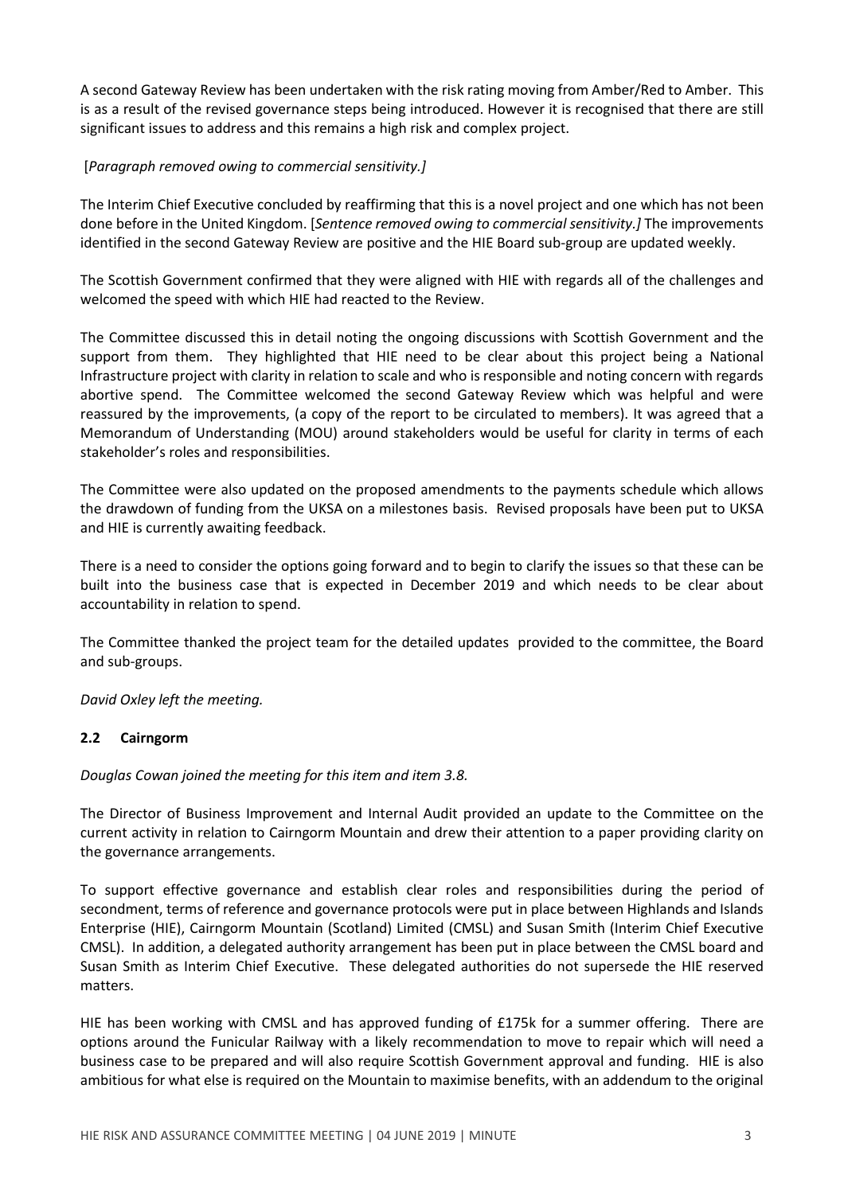A second Gateway Review has been undertaken with the risk rating moving from Amber/Red to Amber. This is as a result of the revised governance steps being introduced. However it is recognised that there are still significant issues to address and this remains a high risk and complex project.

## [*Paragraph removed owing to commercial sensitivity.]*

The Interim Chief Executive concluded by reaffirming that this is a novel project and one which has not been done before in the United Kingdom. [*Sentence removed owing to commercial sensitivity.]* The improvements identified in the second Gateway Review are positive and the HIE Board sub-group are updated weekly.

The Scottish Government confirmed that they were aligned with HIE with regards all of the challenges and welcomed the speed with which HIE had reacted to the Review.

The Committee discussed this in detail noting the ongoing discussions with Scottish Government and the support from them. They highlighted that HIE need to be clear about this project being a National Infrastructure project with clarity in relation to scale and who is responsible and noting concern with regards abortive spend. The Committee welcomed the second Gateway Review which was helpful and were reassured by the improvements, (a copy of the report to be circulated to members). It was agreed that a Memorandum of Understanding (MOU) around stakeholders would be useful for clarity in terms of each stakeholder's roles and responsibilities.

The Committee were also updated on the proposed amendments to the payments schedule which allows the drawdown of funding from the UKSA on a milestones basis. Revised proposals have been put to UKSA and HIE is currently awaiting feedback.

There is a need to consider the options going forward and to begin to clarify the issues so that these can be built into the business case that is expected in December 2019 and which needs to be clear about accountability in relation to spend.

The Committee thanked the project team for the detailed updates provided to the committee, the Board and sub-groups.

*David Oxley left the meeting.*

### **2.2 Cairngorm**

*Douglas Cowan joined the meeting for this item and item 3.8.*

The Director of Business Improvement and Internal Audit provided an update to the Committee on the current activity in relation to Cairngorm Mountain and drew their attention to a paper providing clarity on the governance arrangements.

To support effective governance and establish clear roles and responsibilities during the period of secondment, terms of reference and governance protocols were put in place between Highlands and Islands Enterprise (HIE), Cairngorm Mountain (Scotland) Limited (CMSL) and Susan Smith (Interim Chief Executive CMSL). In addition, a delegated authority arrangement has been put in place between the CMSL board and Susan Smith as Interim Chief Executive. These delegated authorities do not supersede the HIE reserved matters.

HIE has been working with CMSL and has approved funding of £175k for a summer offering. There are options around the Funicular Railway with a likely recommendation to move to repair which will need a business case to be prepared and will also require Scottish Government approval and funding. HIE is also ambitious for what else is required on the Mountain to maximise benefits, with an addendum to the original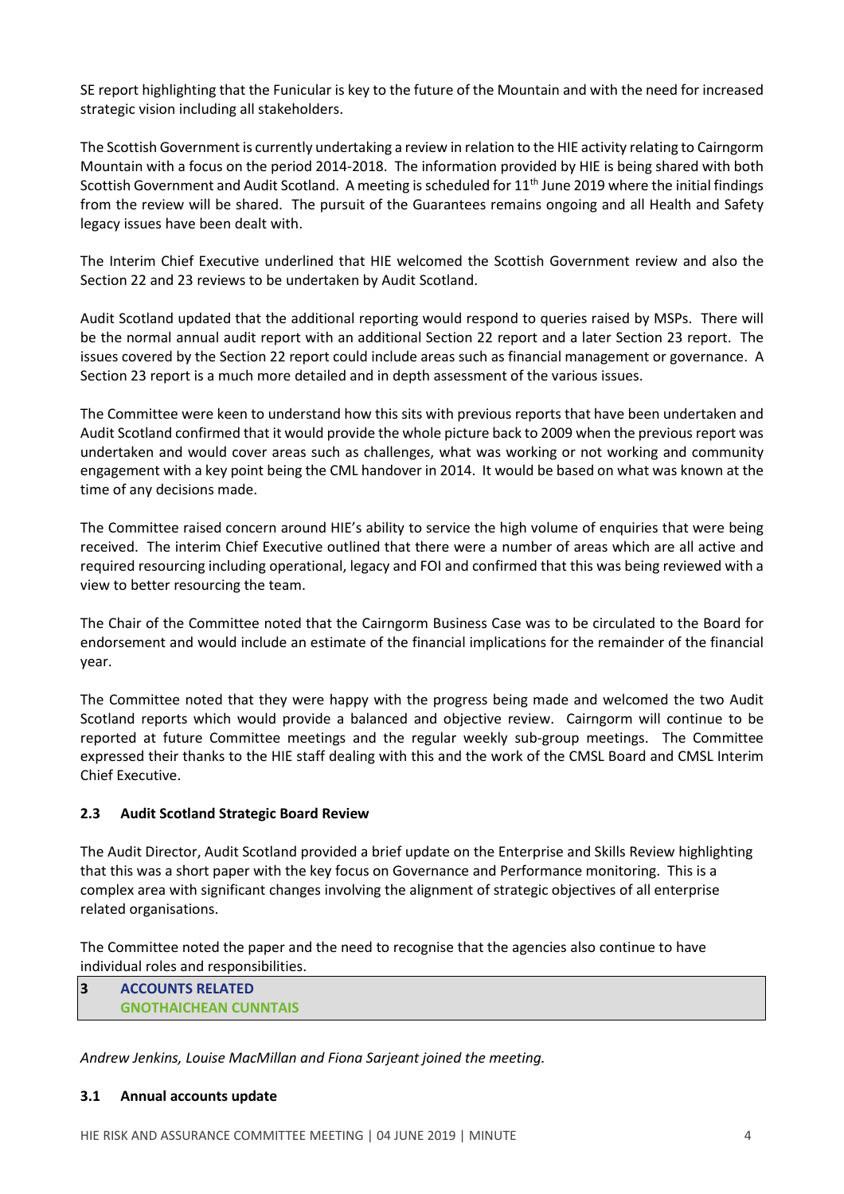SE report highlighting that the Funicular is key to the future of the Mountain and with the need for increased strategic vision including all stakeholders.

The Scottish Government is currently undertaking a review in relation to the HIE activity relating to Cairngorm Mountain with a focus on the period 2014-2018. The information provided by HIE is being shared with both Scottish Government and Audit Scotland. A meeting is scheduled for 11<sup>th</sup> June 2019 where the initial findings from the review will be shared. The pursuit of the Guarantees remains ongoing and all Health and Safety legacy issues have been dealt with.

The Interim Chief Executive underlined that HIE welcomed the Scottish Government review and also the Section 22 and 23 reviews to be undertaken by Audit Scotland.

Audit Scotland updated that the additional reporting would respond to queries raised by MSPs. There will be the normal annual audit report with an additional Section 22 report and a later Section 23 report. The issues covered by the Section 22 report could include areas such as financial management or governance. A Section 23 report is a much more detailed and in depth assessment of the various issues.

The Committee were keen to understand how this sits with previous reports that have been undertaken and Audit Scotland confirmed that it would provide the whole picture back to 2009 when the previous report was undertaken and would cover areas such as challenges, what was working or not working and community engagement with a key point being the CML handover in 2014. It would be based on what was known at the time of any decisions made.

The Committee raised concern around HIE's ability to service the high volume of enquiries that were being received. The interim Chief Executive outlined that there were a number of areas which are all active and required resourcing including operational, legacy and FOI and confirmed that this was being reviewed with a view to better resourcing the team.

The Chair of the Committee noted that the Cairngorm Business Case was to be circulated to the Board for endorsement and would include an estimate of the financial implications for the remainder of the financial year.

The Committee noted that they were happy with the progress being made and welcomed the two Audit Scotland reports which would provide a balanced and objective review. Cairngorm will continue to be reported at future Committee meetings and the regular weekly sub-group meetings. The Committee expressed their thanks to the HIE staff dealing with this and the work of the CMSL Board and CMSL Interim Chief Executive.

# **2.3 Audit Scotland Strategic Board Review**

The Audit Director, Audit Scotland provided a brief update on the Enterprise and Skills Review highlighting that this was a short paper with the key focus on Governance and Performance monitoring. This is a complex area with significant changes involving the alignment of strategic objectives of all enterprise related organisations.

The Committee noted the paper and the need to recognise that the agencies also continue to have individual roles and responsibilities.

**3 ACCOUNTS RELATED GNOTHAICHEAN CUNNTAIS**

*Andrew Jenkins, Louise MacMillan and Fiona Sarjeant joined the meeting.*

### **3.1 Annual accounts update**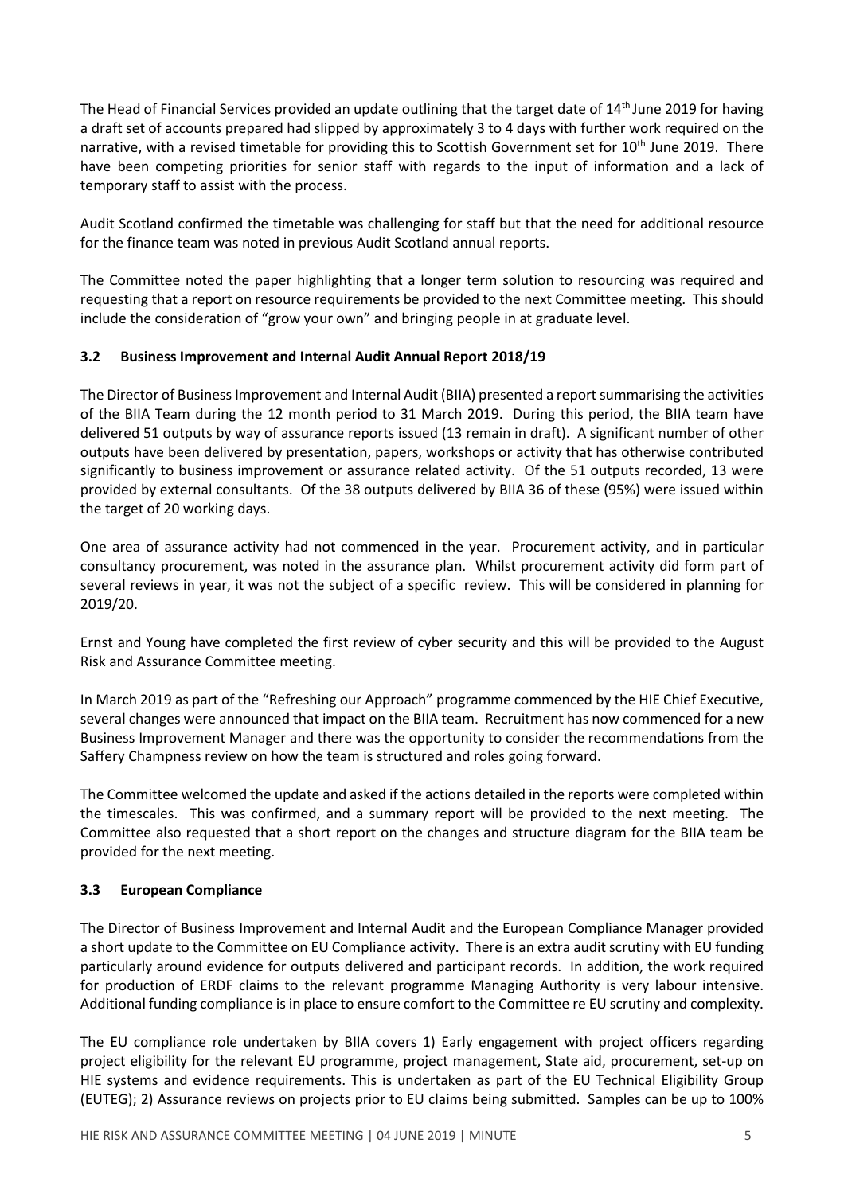The Head of Financial Services provided an update outlining that the target date of 14<sup>th</sup> June 2019 for having a draft set of accounts prepared had slipped by approximately 3 to 4 days with further work required on the narrative, with a revised timetable for providing this to Scottish Government set for 10<sup>th</sup> June 2019. There have been competing priorities for senior staff with regards to the input of information and a lack of temporary staff to assist with the process.

Audit Scotland confirmed the timetable was challenging for staff but that the need for additional resource for the finance team was noted in previous Audit Scotland annual reports.

The Committee noted the paper highlighting that a longer term solution to resourcing was required and requesting that a report on resource requirements be provided to the next Committee meeting. This should include the consideration of "grow your own" and bringing people in at graduate level.

# **3.2 Business Improvement and Internal Audit Annual Report 2018/19**

The Director of Business Improvement and Internal Audit (BIIA) presented a report summarising the activities of the BIIA Team during the 12 month period to 31 March 2019. During this period, the BIIA team have delivered 51 outputs by way of assurance reports issued (13 remain in draft). A significant number of other outputs have been delivered by presentation, papers, workshops or activity that has otherwise contributed significantly to business improvement or assurance related activity. Of the 51 outputs recorded, 13 were provided by external consultants. Of the 38 outputs delivered by BIIA 36 of these (95%) were issued within the target of 20 working days.

One area of assurance activity had not commenced in the year. Procurement activity, and in particular consultancy procurement, was noted in the assurance plan. Whilst procurement activity did form part of several reviews in year, it was not the subject of a specific review. This will be considered in planning for 2019/20.

Ernst and Young have completed the first review of cyber security and this will be provided to the August Risk and Assurance Committee meeting.

In March 2019 as part of the "Refreshing our Approach" programme commenced by the HIE Chief Executive, several changes were announced that impact on the BIIA team. Recruitment has now commenced for a new Business Improvement Manager and there was the opportunity to consider the recommendations from the Saffery Champness review on how the team is structured and roles going forward.

The Committee welcomed the update and asked if the actions detailed in the reports were completed within the timescales. This was confirmed, and a summary report will be provided to the next meeting. The Committee also requested that a short report on the changes and structure diagram for the BIIA team be provided for the next meeting.

# **3.3 European Compliance**

The Director of Business Improvement and Internal Audit and the European Compliance Manager provided a short update to the Committee on EU Compliance activity. There is an extra audit scrutiny with EU funding particularly around evidence for outputs delivered and participant records. In addition, the work required for production of ERDF claims to the relevant programme Managing Authority is very labour intensive. Additional funding compliance is in place to ensure comfort to the Committee re EU scrutiny and complexity.

The EU compliance role undertaken by BIIA covers 1) Early engagement with project officers regarding project eligibility for the relevant EU programme, project management, State aid, procurement, set-up on HIE systems and evidence requirements. This is undertaken as part of the EU Technical Eligibility Group (EUTEG); 2) Assurance reviews on projects prior to EU claims being submitted. Samples can be up to 100%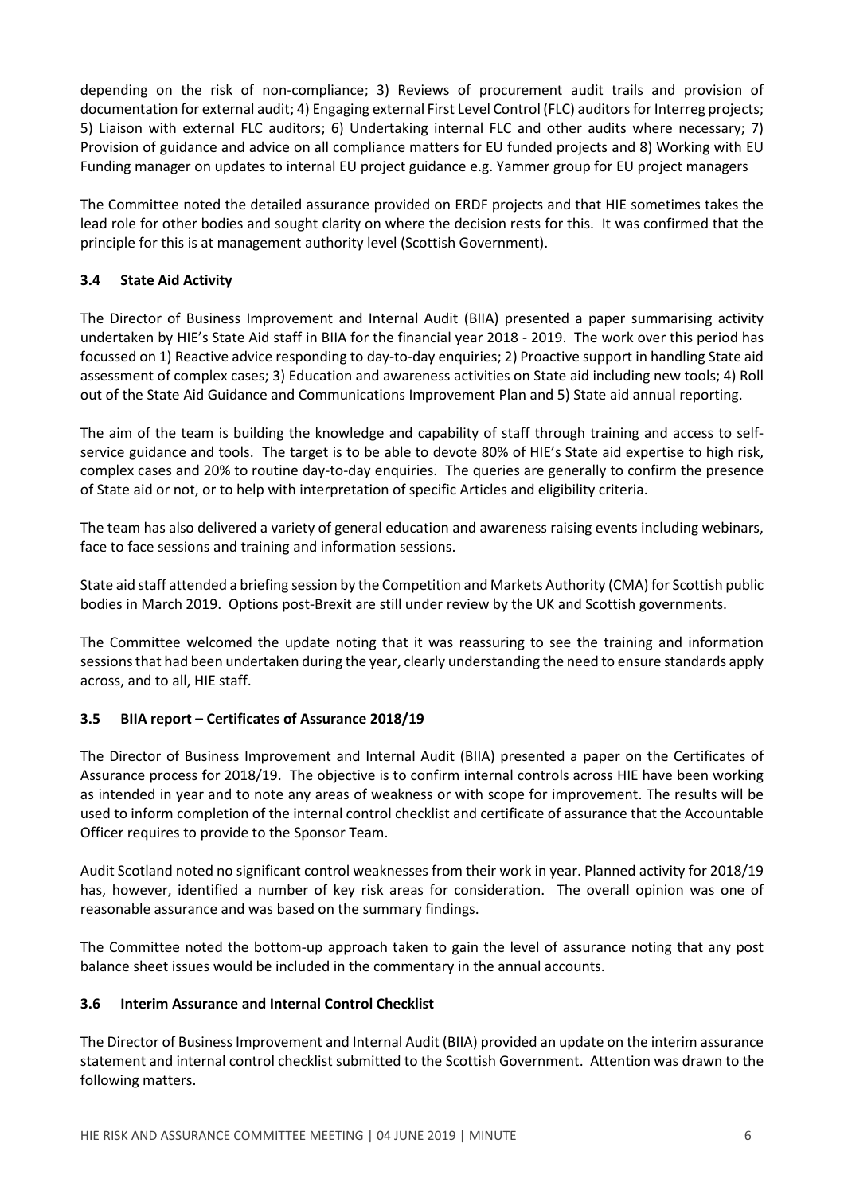depending on the risk of non-compliance; 3) Reviews of procurement audit trails and provision of documentation for external audit; 4) Engaging external First Level Control (FLC) auditors for Interreg projects; 5) Liaison with external FLC auditors; 6) Undertaking internal FLC and other audits where necessary; 7) Provision of guidance and advice on all compliance matters for EU funded projects and 8) Working with EU Funding manager on updates to internal EU project guidance e.g. Yammer group for EU project managers

The Committee noted the detailed assurance provided on ERDF projects and that HIE sometimes takes the lead role for other bodies and sought clarity on where the decision rests for this. It was confirmed that the principle for this is at management authority level (Scottish Government).

# **3.4 State Aid Activity**

The Director of Business Improvement and Internal Audit (BIIA) presented a paper summarising activity undertaken by HIE's State Aid staff in BIIA for the financial year 2018 - 2019. The work over this period has focussed on 1) Reactive advice responding to day-to-day enquiries; 2) Proactive support in handling State aid assessment of complex cases; 3) Education and awareness activities on State aid including new tools; 4) Roll out of the State Aid Guidance and Communications Improvement Plan and 5) State aid annual reporting.

The aim of the team is building the knowledge and capability of staff through training and access to selfservice guidance and tools. The target is to be able to devote 80% of HIE's State aid expertise to high risk, complex cases and 20% to routine day-to-day enquiries. The queries are generally to confirm the presence of State aid or not, or to help with interpretation of specific Articles and eligibility criteria.

The team has also delivered a variety of general education and awareness raising events including webinars, face to face sessions and training and information sessions.

State aid staff attended a briefing session by the Competition and Markets Authority (CMA) for Scottish public bodies in March 2019. Options post-Brexit are still under review by the UK and Scottish governments.

The Committee welcomed the update noting that it was reassuring to see the training and information sessionsthat had been undertaken during the year, clearly understanding the need to ensure standards apply across, and to all, HIE staff.

# **3.5 BIIA report – Certificates of Assurance 2018/19**

The Director of Business Improvement and Internal Audit (BIIA) presented a paper on the Certificates of Assurance process for 2018/19. The objective is to confirm internal controls across HIE have been working as intended in year and to note any areas of weakness or with scope for improvement. The results will be used to inform completion of the internal control checklist and certificate of assurance that the Accountable Officer requires to provide to the Sponsor Team.

Audit Scotland noted no significant control weaknesses from their work in year. Planned activity for 2018/19 has, however, identified a number of key risk areas for consideration. The overall opinion was one of reasonable assurance and was based on the summary findings.

The Committee noted the bottom-up approach taken to gain the level of assurance noting that any post balance sheet issues would be included in the commentary in the annual accounts.

# **3.6 Interim Assurance and Internal Control Checklist**

The Director of Business Improvement and Internal Audit (BIIA) provided an update on the interim assurance statement and internal control checklist submitted to the Scottish Government. Attention was drawn to the following matters.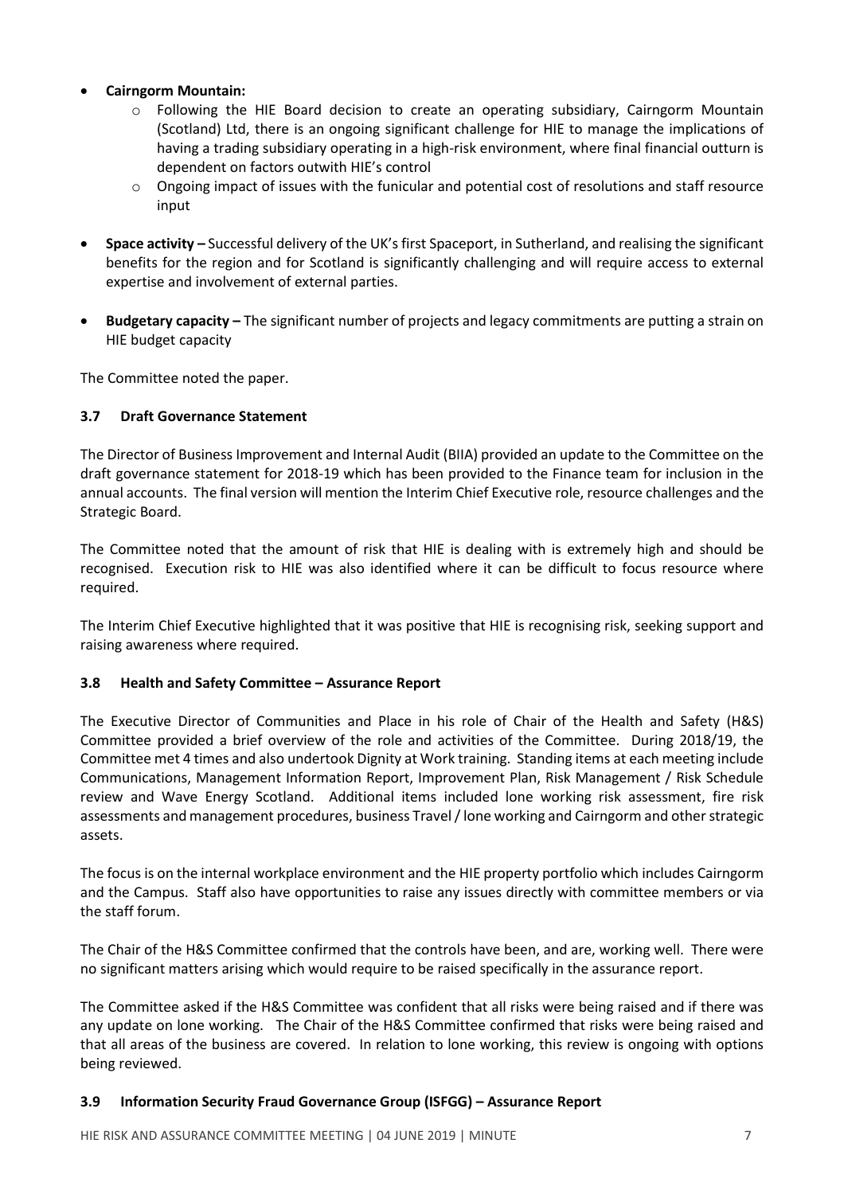## • **Cairngorm Mountain:**

- o Following the HIE Board decision to create an operating subsidiary, Cairngorm Mountain (Scotland) Ltd, there is an ongoing significant challenge for HIE to manage the implications of having a trading subsidiary operating in a high-risk environment, where final financial outturn is dependent on factors outwith HIE's control
- $\circ$  Ongoing impact of issues with the funicular and potential cost of resolutions and staff resource input
- **Space activity –** Successful delivery of the UK's first Spaceport, in Sutherland, and realising the significant benefits for the region and for Scotland is significantly challenging and will require access to external expertise and involvement of external parties.
- **Budgetary capacity –** The significant number of projects and legacy commitments are putting a strain on HIE budget capacity

The Committee noted the paper.

## **3.7 Draft Governance Statement**

The Director of Business Improvement and Internal Audit (BIIA) provided an update to the Committee on the draft governance statement for 2018-19 which has been provided to the Finance team for inclusion in the annual accounts. The final version will mention the Interim Chief Executive role, resource challenges and the Strategic Board.

The Committee noted that the amount of risk that HIE is dealing with is extremely high and should be recognised. Execution risk to HIE was also identified where it can be difficult to focus resource where required.

The Interim Chief Executive highlighted that it was positive that HIE is recognising risk, seeking support and raising awareness where required.

### **3.8 Health and Safety Committee – Assurance Report**

The Executive Director of Communities and Place in his role of Chair of the Health and Safety (H&S) Committee provided a brief overview of the role and activities of the Committee. During 2018/19, the Committee met 4 times and also undertook Dignity at Work training. Standing items at each meeting include Communications, Management Information Report, Improvement Plan, Risk Management / Risk Schedule review and Wave Energy Scotland. Additional items included lone working risk assessment, fire risk assessments and management procedures, business Travel / lone working and Cairngorm and other strategic assets.

The focus is on the internal workplace environment and the HIE property portfolio which includes Cairngorm and the Campus. Staff also have opportunities to raise any issues directly with committee members or via the staff forum.

The Chair of the H&S Committee confirmed that the controls have been, and are, working well. There were no significant matters arising which would require to be raised specifically in the assurance report.

The Committee asked if the H&S Committee was confident that all risks were being raised and if there was any update on lone working. The Chair of the H&S Committee confirmed that risks were being raised and that all areas of the business are covered. In relation to lone working, this review is ongoing with options being reviewed.

### **3.9 Information Security Fraud Governance Group (ISFGG) – Assurance Report**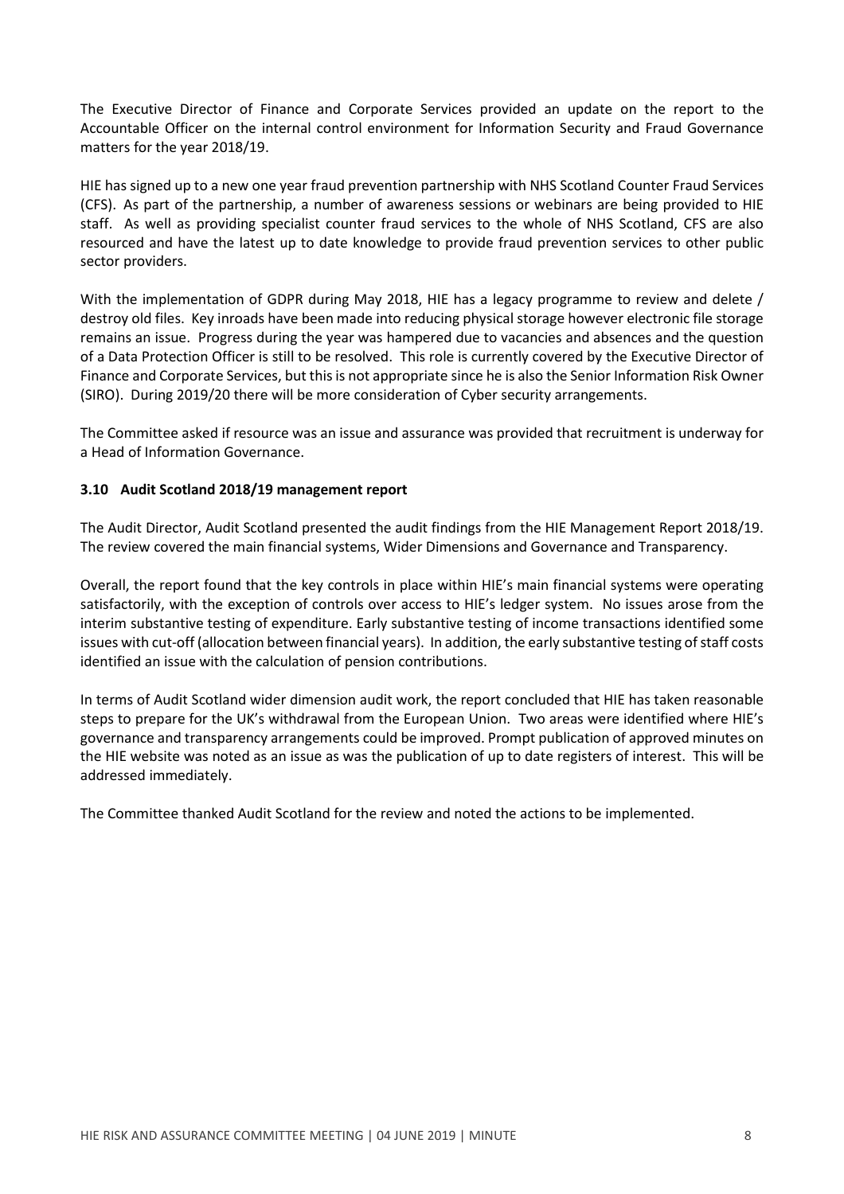The Executive Director of Finance and Corporate Services provided an update on the report to the Accountable Officer on the internal control environment for Information Security and Fraud Governance matters for the year 2018/19.

HIE has signed up to a new one year fraud prevention partnership with NHS Scotland Counter Fraud [Services](https://cfa.nhs.uk/) (CFS). As part of the partnership, a number of awareness sessions or webinars are being provided to HIE staff. As well as providing specialist counter fraud services to the whole of NHS Scotland, CFS are also resourced and have the latest up to date knowledge to provide fraud prevention services to other public sector providers.

With the implementation of GDPR during May 2018, HIE has a legacy programme to review and delete / destroy old files. Key inroads have been made into reducing physical storage however electronic file storage remains an issue. Progress during the year was hampered due to vacancies and absences and the question of a Data Protection Officer is still to be resolved. This role is currently covered by the Executive Director of Finance and Corporate Services, but thisis not appropriate since he is also the Senior Information Risk Owner (SIRO). During 2019/20 there will be more consideration of Cyber security arrangements.

The Committee asked if resource was an issue and assurance was provided that recruitment is underway for a Head of Information Governance.

# **3.10 Audit Scotland 2018/19 management report**

The Audit Director, Audit Scotland presented the audit findings from the HIE Management Report 2018/19. The review covered the main financial systems, Wider Dimensions and Governance and Transparency.

Overall, the report found that the key controls in place within HIE's main financial systems were operating satisfactorily, with the exception of controls over access to HIE's ledger system. No issues arose from the interim substantive testing of expenditure. Early substantive testing of income transactions identified some issues with cut-off (allocation between financial years). In addition, the early substantive testing of staff costs identified an issue with the calculation of pension contributions.

In terms of Audit Scotland wider dimension audit work, the report concluded that HIE has taken reasonable steps to prepare for the UK's withdrawal from the European Union. Two areas were identified where HIE's governance and transparency arrangements could be improved. Prompt publication of approved minutes on the HIE website was noted as an issue as was the publication of up to date registers of interest. This will be addressed immediately.

The Committee thanked Audit Scotland for the review and noted the actions to be implemented.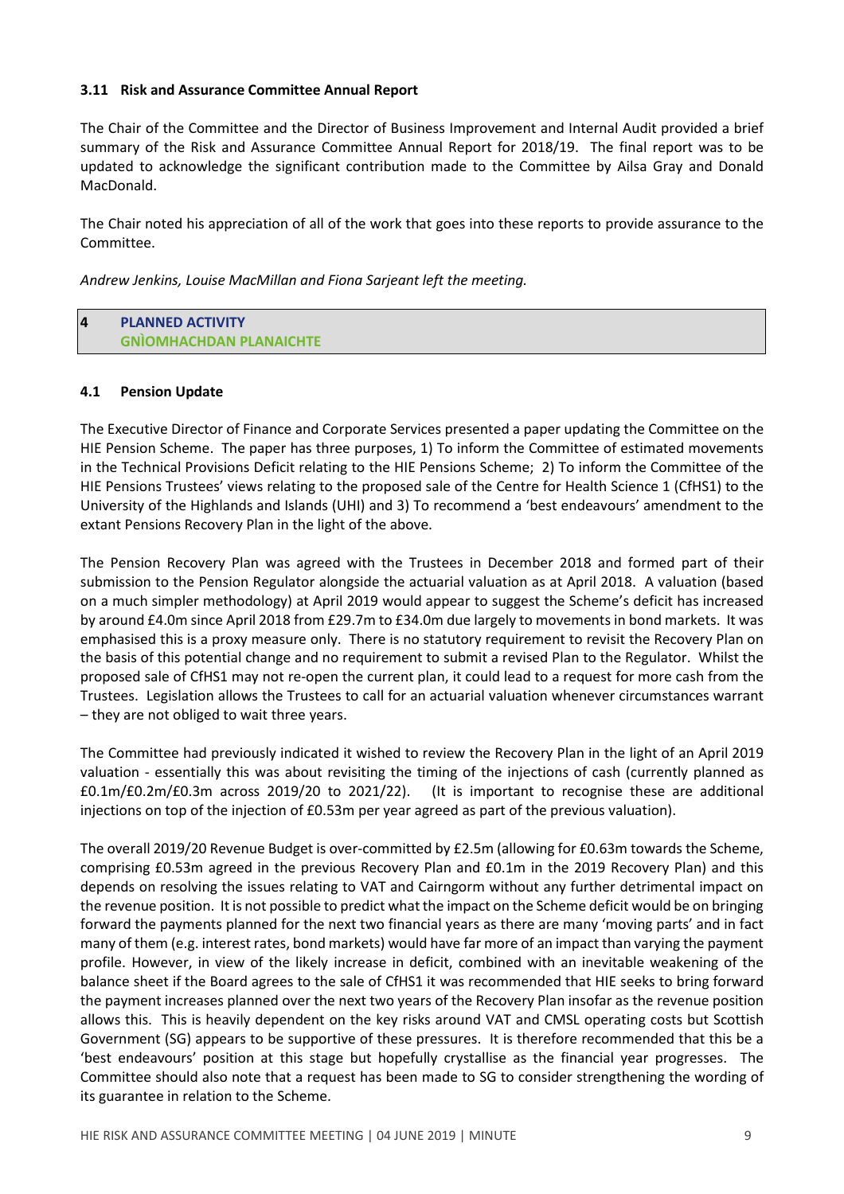## **3.11 Risk and Assurance Committee Annual Report**

The Chair of the Committee and the Director of Business Improvement and Internal Audit provided a brief summary of the Risk and Assurance Committee Annual Report for 2018/19. The final report was to be updated to acknowledge the significant contribution made to the Committee by Ailsa Gray and Donald MacDonald.

The Chair noted his appreciation of all of the work that goes into these reports to provide assurance to the Committee.

*Andrew Jenkins, Louise MacMillan and Fiona Sarjeant left the meeting.*

| 4 | <b>PLANNED ACTIVITY</b>        |
|---|--------------------------------|
|   | <b>GNÌOMHACHDAN PLANAICHTE</b> |

#### **4.1 Pension Update**

The Executive Director of Finance and Corporate Services presented a paper updating the Committee on the HIE Pension Scheme. The paper has three purposes, 1) To inform the Committee of estimated movements in the Technical Provisions Deficit relating to the HIE Pensions Scheme; 2) To inform the Committee of the HIE Pensions Trustees' views relating to the proposed sale of the Centre for Health Science 1 (CfHS1) to the University of the Highlands and Islands (UHI) and 3) To recommend a 'best endeavours' amendment to the extant Pensions Recovery Plan in the light of the above.

The Pension Recovery Plan was agreed with the Trustees in December 2018 and formed part of their submission to the Pension Regulator alongside the actuarial valuation as at April 2018. A valuation (based on a much simpler methodology) at April 2019 would appear to suggest the Scheme's deficit has increased by around £4.0m since April 2018 from £29.7m to £34.0m due largely to movements in bond markets. It was emphasised this is a proxy measure only. There is no statutory requirement to revisit the Recovery Plan on the basis of this potential change and no requirement to submit a revised Plan to the Regulator. Whilst the proposed sale of CfHS1 may not re-open the current plan, it could lead to a request for more cash from the Trustees. Legislation allows the Trustees to call for an actuarial valuation whenever circumstances warrant – they are not obliged to wait three years.

The Committee had previously indicated it wished to review the Recovery Plan in the light of an April 2019 valuation - essentially this was about revisiting the timing of the injections of cash (currently planned as £0.1m/£0.2m/£0.3m across 2019/20 to 2021/22). (It is important to recognise these are additional injections on top of the injection of £0.53m per year agreed as part of the previous valuation).

The overall 2019/20 Revenue Budget is over-committed by £2.5m (allowing for £0.63m towards the Scheme, comprising £0.53m agreed in the previous Recovery Plan and £0.1m in the 2019 Recovery Plan) and this depends on resolving the issues relating to VAT and Cairngorm without any further detrimental impact on the revenue position. It is not possible to predict whatthe impact on the Scheme deficit would be on bringing forward the payments planned for the next two financial years as there are many 'moving parts' and in fact many of them (e.g. interest rates, bond markets) would have far more of an impact than varying the payment profile. However, in view of the likely increase in deficit, combined with an inevitable weakening of the balance sheet if the Board agrees to the sale of CfHS1 it was recommended that HIE seeks to bring forward the payment increases planned over the next two years of the Recovery Plan insofar as the revenue position allows this. This is heavily dependent on the key risks around VAT and CMSL operating costs but Scottish Government (SG) appears to be supportive of these pressures. It is therefore recommended that this be a 'best endeavours' position at this stage but hopefully crystallise as the financial year progresses. The Committee should also note that a request has been made to SG to consider strengthening the wording of its guarantee in relation to the Scheme.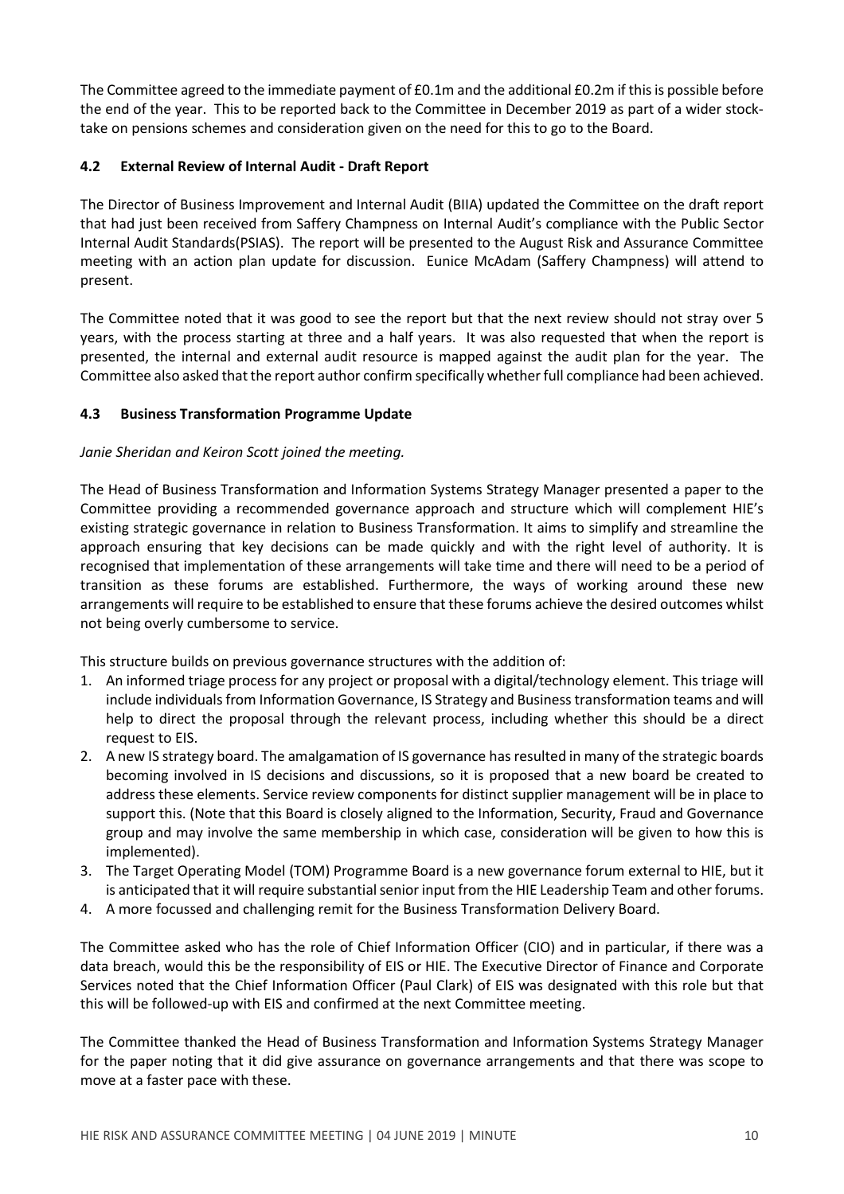The Committee agreed to the immediate payment of £0.1m and the additional £0.2m if this is possible before the end of the year. This to be reported back to the Committee in December 2019 as part of a wider stocktake on pensions schemes and consideration given on the need for this to go to the Board.

## **4.2 External Review of Internal Audit - Draft Report**

The Director of Business Improvement and Internal Audit (BIIA) updated the Committee on the draft report that had just been received from Saffery Champness on Internal Audit's compliance with the Public Sector Internal Audit Standards(PSIAS). The report will be presented to the August Risk and Assurance Committee meeting with an action plan update for discussion. Eunice McAdam (Saffery Champness) will attend to present.

The Committee noted that it was good to see the report but that the next review should not stray over 5 years, with the process starting at three and a half years. It was also requested that when the report is presented, the internal and external audit resource is mapped against the audit plan for the year. The Committee also asked that the report author confirm specifically whether full compliance had been achieved.

## **4.3 Business Transformation Programme Update**

## *Janie Sheridan and Keiron Scott joined the meeting.*

The Head of Business Transformation and Information Systems Strategy Manager presented a paper to the Committee providing a recommended governance approach and structure which will complement HIE's existing strategic governance in relation to Business Transformation. It aims to simplify and streamline the approach ensuring that key decisions can be made quickly and with the right level of authority. It is recognised that implementation of these arrangements will take time and there will need to be a period of transition as these forums are established. Furthermore, the ways of working around these new arrangements will require to be established to ensure that these forums achieve the desired outcomes whilst not being overly cumbersome to service.

This structure builds on previous governance structures with the addition of:

- 1. An informed triage process for any project or proposal with a digital/technology element. This triage will include individuals from Information Governance, IS Strategy and Business transformation teams and will help to direct the proposal through the relevant process, including whether this should be a direct request to EIS.
- 2. A new IS strategy board. The amalgamation of IS governance hasresulted in many of the strategic boards becoming involved in IS decisions and discussions, so it is proposed that a new board be created to address these elements. Service review components for distinct supplier management will be in place to support this. (Note that this Board is closely aligned to the Information, Security, Fraud and Governance group and may involve the same membership in which case, consideration will be given to how this is implemented).
- 3. The Target Operating Model (TOM) Programme Board is a new governance forum external to HIE, but it is anticipated that it will require substantial senior input from the HIE Leadership Team and other forums.
- 4. A more focussed and challenging remit for the Business Transformation Delivery Board.

The Committee asked who has the role of Chief Information Officer (CIO) and in particular, if there was a data breach, would this be the responsibility of EIS or HIE. The Executive Director of Finance and Corporate Services noted that the Chief Information Officer (Paul Clark) of EIS was designated with this role but that this will be followed-up with EIS and confirmed at the next Committee meeting.

The Committee thanked the Head of Business Transformation and Information Systems Strategy Manager for the paper noting that it did give assurance on governance arrangements and that there was scope to move at a faster pace with these.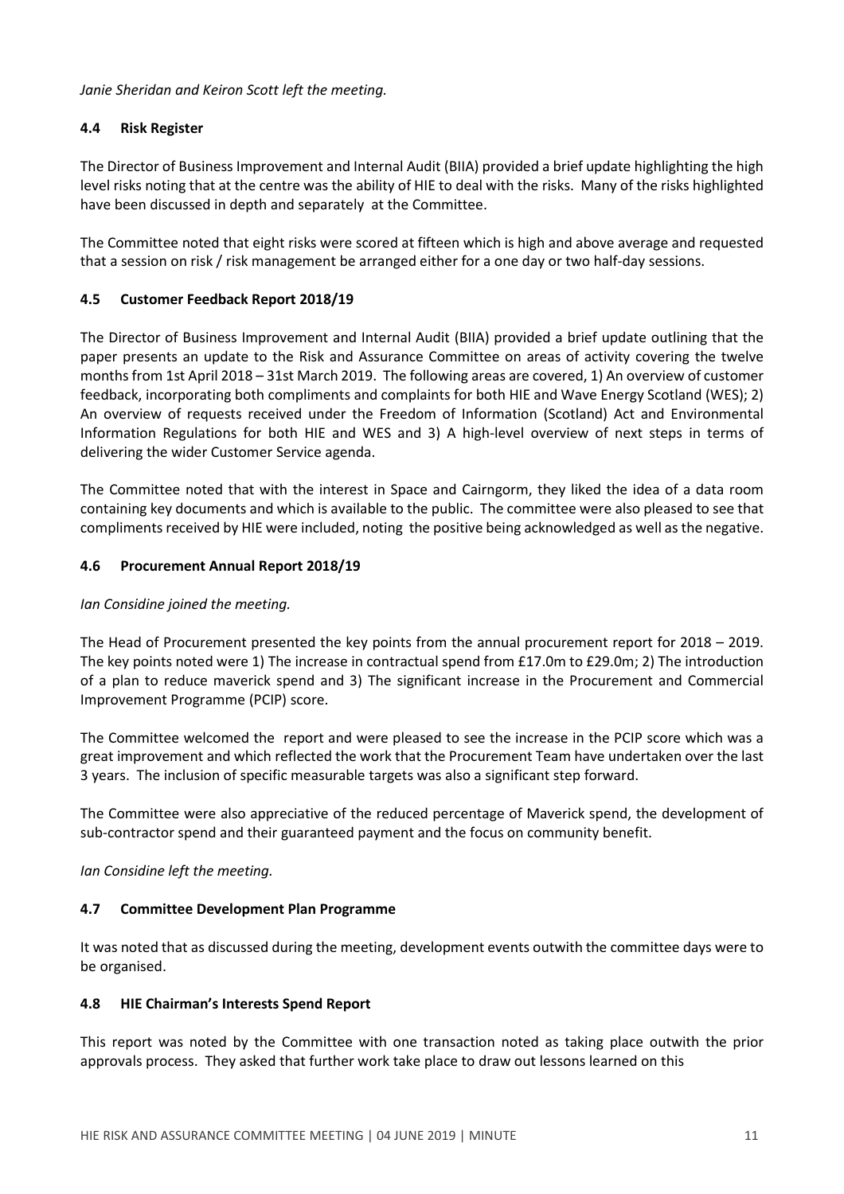*Janie Sheridan and Keiron Scott left the meeting.*

# **4.4 Risk Register**

The Director of Business Improvement and Internal Audit (BIIA) provided a brief update highlighting the high level risks noting that at the centre was the ability of HIE to deal with the risks. Many of the risks highlighted have been discussed in depth and separately at the Committee.

The Committee noted that eight risks were scored at fifteen which is high and above average and requested that a session on risk / risk management be arranged either for a one day or two half-day sessions.

# **4.5 Customer Feedback Report 2018/19**

The Director of Business Improvement and Internal Audit (BIIA) provided a brief update outlining that the paper presents an update to the Risk and Assurance Committee on areas of activity covering the twelve months from 1st April 2018 – 31st March 2019. The following areas are covered, 1) An overview of customer feedback, incorporating both compliments and complaints for both HIE and Wave Energy Scotland (WES); 2) An overview of requests received under the Freedom of Information (Scotland) Act and Environmental Information Regulations for both HIE and WES and 3) A high-level overview of next steps in terms of delivering the wider Customer Service agenda.

The Committee noted that with the interest in Space and Cairngorm, they liked the idea of a data room containing key documents and which is available to the public. The committee were also pleased to see that compliments received by HIE were included, noting the positive being acknowledged as well as the negative.

# **4.6 Procurement Annual Report 2018/19**

# *Ian Considine joined the meeting.*

The Head of Procurement presented the key points from the annual procurement report for 2018 – 2019. The key points noted were 1) The increase in contractual spend from £17.0m to £29.0m; 2) The introduction of a plan to reduce maverick spend and 3) The significant increase in the Procurement and Commercial Improvement Programme (PCIP) score.

The Committee welcomed the report and were pleased to see the increase in the PCIP score which was a great improvement and which reflected the work that the Procurement Team have undertaken over the last 3 years. The inclusion of specific measurable targets was also a significant step forward.

The Committee were also appreciative of the reduced percentage of Maverick spend, the development of sub-contractor spend and their guaranteed payment and the focus on community benefit.

*Ian Considine left the meeting.*

# **4.7 Committee Development Plan Programme**

It was noted that as discussed during the meeting, development events outwith the committee days were to be organised.

# **4.8 HIE Chairman's Interests Spend Report**

This report was noted by the Committee with one transaction noted as taking place outwith the prior approvals process. They asked that further work take place to draw out lessons learned on this